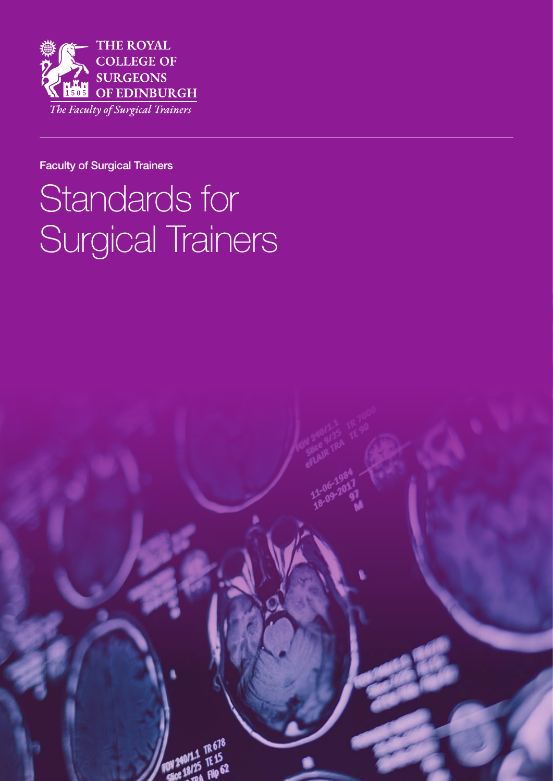

#### Faculty of Surgical Trainers

# Standards for Surgical Trainers

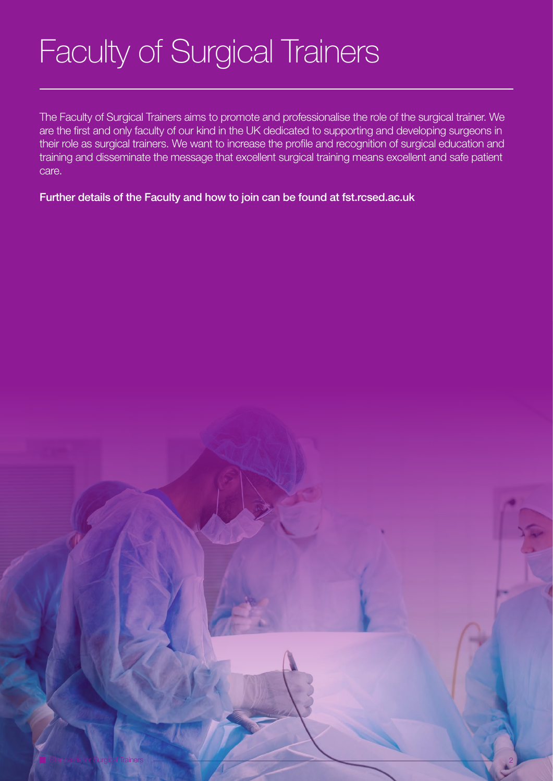# Faculty of Surgical Trainers

The Faculty of Surgical Trainers aims to promote and professionalise the role of the surgical trainer. We are the first and only faculty of our kind in the UK dedicated to supporting and developing surgeons in their role as surgical trainers. We want to increase the profile and recognition of surgical education and training and disseminate the message that excellent surgical training means excellent and safe patient care.

Further details of the Faculty and how to join can be found at fst.rcsed.ac.uk

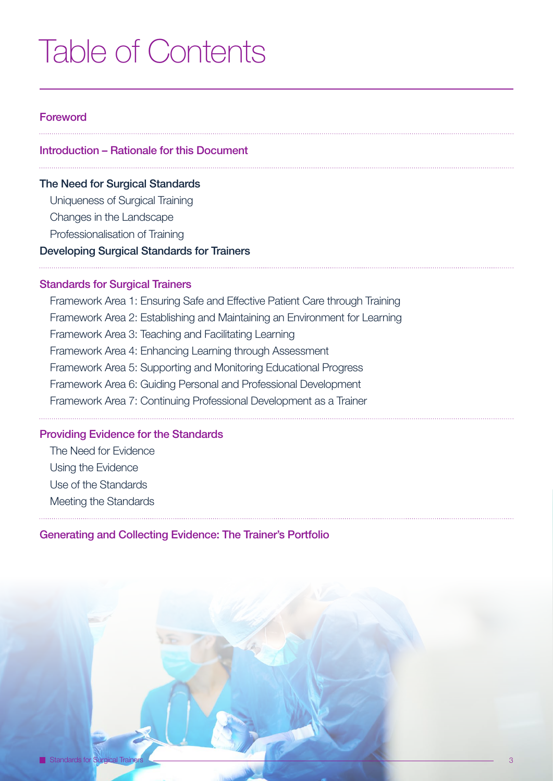## Table of Contents

#### Foreword

#### Introduction – Rationale for this Document

#### The Need for Surgical Standards

Uniqueness of Surgical Training

Changes in the Landscape

Professionalisation of Training

#### Developing Surgical Standards for Trainers

#### **Standards for Surgical Trainers**

Framework Area 1: Ensuring Safe and Effective Patient Care through Training Framework Area 2: Establishing and Maintaining an Environment for Learning Framework Area 3: Teaching and Facilitating Learning Framework Area 4: Enhancing Learning through Assessment Framework Area 5: Supporting and Monitoring Educational Progress Framework Area 6: Guiding Personal and Professional Development Framework Area 7: Continuing Professional Development as a Trainer

#### Providing Evidence for the Standards

The Need for Evidence Using the Evidence Use of the Standards

Meeting the Standards

#### Generating and Collecting Evidence: The Trainer's Portfolio

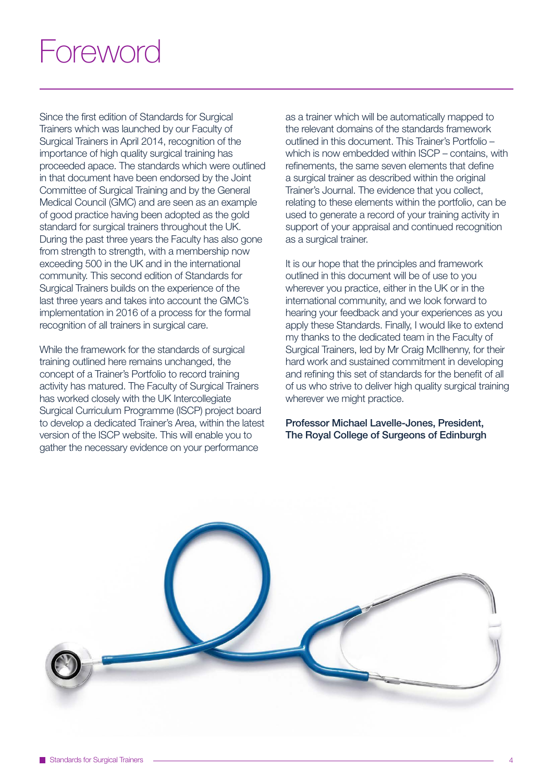## Foreword

Since the first edition of Standards for Surgical Trainers which was launched by our Faculty of Surgical Trainers in April 2014, recognition of the importance of high quality surgical training has proceeded apace. The standards which were outlined in that document have been endorsed by the Joint Committee of Surgical Training and by the General Medical Council (GMC) and are seen as an example of good practice having been adopted as the gold standard for surgical trainers throughout the UK. During the past three years the Faculty has also gone from strength to strength, with a membership now exceeding 500 in the UK and in the international community. This second edition of Standards for Surgical Trainers builds on the experience of the last three years and takes into account the GMC's implementation in 2016 of a process for the formal recognition of all trainers in surgical care.

While the framework for the standards of surgical training outlined here remains unchanged, the concept of a Trainer's Portfolio to record training activity has matured. The Faculty of Surgical Trainers has worked closely with the UK Intercollegiate Surgical Curriculum Programme (ISCP) project board to develop a dedicated Trainer's Area, within the latest version of the ISCP website. This will enable you to gather the necessary evidence on your performance

as a trainer which will be automatically mapped to the relevant domains of the standards framework outlined in this document. This Trainer's Portfolio – which is now embedded within ISCP – contains, with refinements, the same seven elements that define a surgical trainer as described within the original Trainer's Journal. The evidence that you collect, relating to these elements within the portfolio, can be used to generate a record of your training activity in support of your appraisal and continued recognition as a surgical trainer.

It is our hope that the principles and framework outlined in this document will be of use to you wherever you practice, either in the UK or in the international community, and we look forward to hearing your feedback and your experiences as you apply these Standards. Finally, I would like to extend my thanks to the dedicated team in the Faculty of Surgical Trainers, led by Mr Craig McIlhenny, for their hard work and sustained commitment in developing and refining this set of standards for the benefit of all of us who strive to deliver high quality surgical training wherever we might practice.

Professor Michael Lavelle-Jones, President, The Royal College of Surgeons of Edinburgh

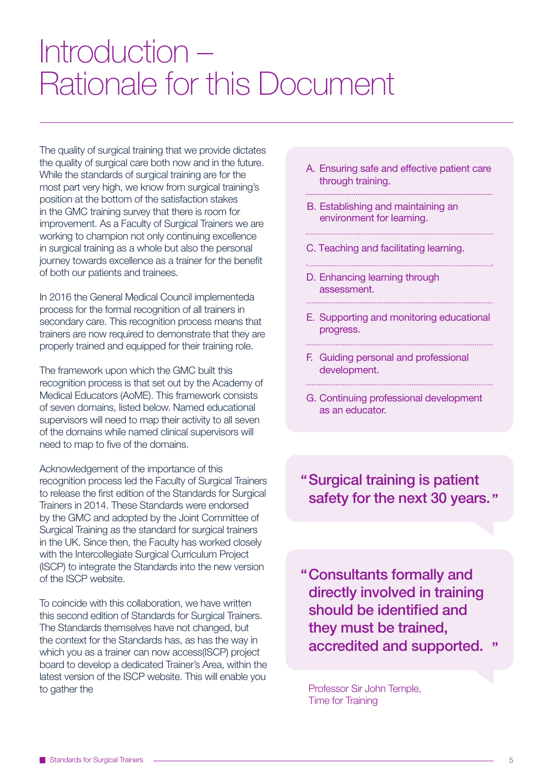## Introduction – Rationale for this Document

The quality of surgical training that we provide dictates the quality of surgical care both now and in the future. While the standards of surgical training are for the most part very high, we know from surgical training's position at the bottom of the satisfaction stakes in the GMC training survey that there is room for improvement. As a Faculty of Surgical Trainers we are working to champion not only continuing excellence in surgical training as a whole but also the personal journey towards excellence as a trainer for the benefit of both our patients and trainees.

In 2016 the General Medical Council implementeda process for the formal recognition of all trainers in secondary care. This recognition process means that trainers are now required to demonstrate that they are properly trained and equipped for their training role.

The framework upon which the GMC built this recognition process is that set out by the Academy of Medical Educators (AoME). This framework consists of seven domains, listed below. Named educational supervisors will need to map their activity to all seven of the domains while named clinical supervisors will need to map to five of the domains.

Acknowledgement of the importance of this recognition process led the Faculty of Surgical Trainers to release the first edition of the Standards for Surgical Trainers in 2014. These Standards were endorsed by the GMC and adopted by the Joint Committee of Surgical Training as the standard for surgical trainers in the UK. Since then, the Faculty has worked closely with the Intercollegiate Surgical Curriculum Project (ISCP) to integrate the Standards into the new version of the ISCP website.

To coincide with this collaboration, we have written this second edition of Standards for Surgical Trainers. The Standards themselves have not changed, but the context for the Standards has, as has the way in which you as a trainer can now access(ISCP) project board to develop a dedicated Trainer's Area, within the latest version of the ISCP website. This will enable you to gather the

- A. Ensuring safe and effective patient care through training.
- B. Establishing and maintaining an environment for learning.
- C. Teaching and facilitating learning.
- D. Enhancing learning through assessment.
- E. Supporting and monitoring educational progress.

- F. Guiding personal and professional development.
- G. Continuing professional development as an educator.

Surgical training is patient safety for the next 30 years."

Consultants formally and directly involved in training should be identified and they must be trained, accredited and supported.

Professor Sir John Temple, Time for Training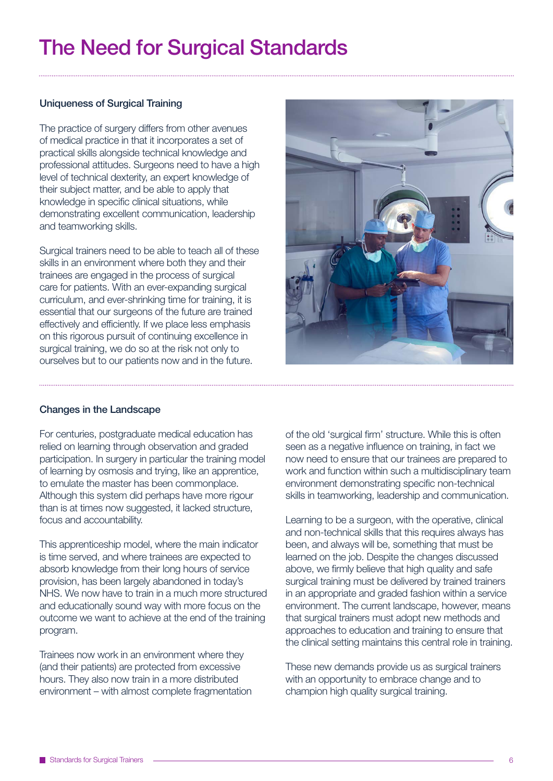### The Need for Surgical Standards

#### Uniqueness of Surgical Training

The practice of surgery differs from other avenues of medical practice in that it incorporates a set of practical skills alongside technical knowledge and professional attitudes. Surgeons need to have a high level of technical dexterity, an expert knowledge of their subject matter, and be able to apply that knowledge in specific clinical situations, while demonstrating excellent communication, leadership and teamworking skills.

Surgical trainers need to be able to teach all of these skills in an environment where both they and their trainees are engaged in the process of surgical care for patients. With an ever-expanding surgical curriculum, and ever-shrinking time for training, it is essential that our surgeons of the future are trained effectively and efficiently. If we place less emphasis on this rigorous pursuit of continuing excellence in surgical training, we do so at the risk not only to ourselves but to our patients now and in the future.



#### Changes in the Landscape

For centuries, postgraduate medical education has relied on learning through observation and graded participation. In surgery in particular the training model of learning by osmosis and trying, like an apprentice, to emulate the master has been commonplace. Although this system did perhaps have more rigour than is at times now suggested, it lacked structure, focus and accountability.

This apprenticeship model, where the main indicator is time served, and where trainees are expected to absorb knowledge from their long hours of service provision, has been largely abandoned in today's NHS. We now have to train in a much more structured and educationally sound way with more focus on the outcome we want to achieve at the end of the training program.

Trainees now work in an environment where they (and their patients) are protected from excessive hours. They also now train in a more distributed environment – with almost complete fragmentation of the old 'surgical firm' structure. While this is often seen as a negative influence on training, in fact we now need to ensure that our trainees are prepared to work and function within such a multidisciplinary team environment demonstrating specific non-technical skills in teamworking, leadership and communication.

Learning to be a surgeon, with the operative, clinical and non-technical skills that this requires always has been, and always will be, something that must be learned on the job. Despite the changes discussed above, we firmly believe that high quality and safe surgical training must be delivered by trained trainers in an appropriate and graded fashion within a service environment. The current landscape, however, means that surgical trainers must adopt new methods and approaches to education and training to ensure that the clinical setting maintains this central role in training.

These new demands provide us as surgical trainers with an opportunity to embrace change and to champion high quality surgical training.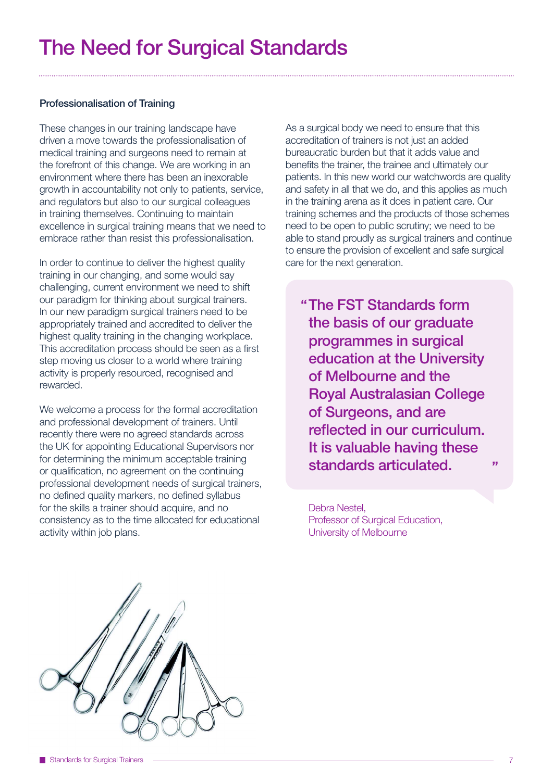#### Professionalisation of Training

These changes in our training landscape have driven a move towards the professionalisation of medical training and surgeons need to remain at the forefront of this change. We are working in an environment where there has been an inexorable growth in accountability not only to patients, service, and regulators but also to our surgical colleagues in training themselves. Continuing to maintain excellence in surgical training means that we need to embrace rather than resist this professionalisation.

In order to continue to deliver the highest quality training in our changing, and some would say challenging, current environment we need to shift our paradigm for thinking about surgical trainers. In our new paradigm surgical trainers need to be appropriately trained and accredited to deliver the highest quality training in the changing workplace. This accreditation process should be seen as a first step moving us closer to a world where training activity is properly resourced, recognised and rewarded.

We welcome a process for the formal accreditation and professional development of trainers. Until recently there were no agreed standards across the UK for appointing Educational Supervisors nor for determining the minimum acceptable training or qualification, no agreement on the continuing professional development needs of surgical trainers, no defined quality markers, no defined syllabus for the skills a trainer should acquire, and no consistency as to the time allocated for educational activity within job plans.

As a surgical body we need to ensure that this accreditation of trainers is not just an added bureaucratic burden but that it adds value and benefits the trainer, the trainee and ultimately our patients. In this new world our watchwords are quality and safety in all that we do, and this applies as much in the training arena as it does in patient care. Our training schemes and the products of those schemes need to be open to public scrutiny; we need to be able to stand proudly as surgical trainers and continue to ensure the provision of excellent and safe surgical care for the next generation.

The FST Standards form the basis of our graduate programmes in surgical education at the University of Melbourne and the Royal Australasian College of Surgeons, and are reflected in our curriculum. It is valuable having these standards articulated.

Debra Nestel, Professor of Surgical Education, University of Melbourne

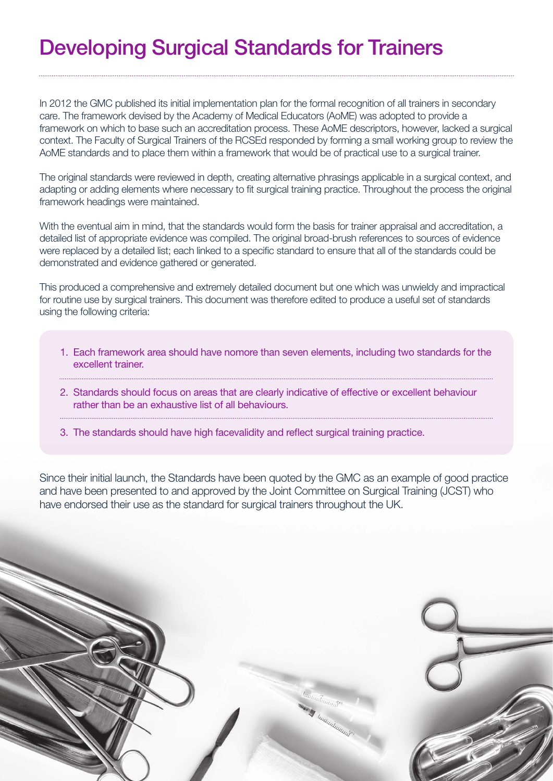### Developing Surgical Standards for Trainers

In 2012 the GMC published its initial implementation plan for the formal recognition of all trainers in secondary care. The framework devised by the Academy of Medical Educators (AoME) was adopted to provide a framework on which to base such an accreditation process. These AoME descriptors, however, lacked a surgical context. The Faculty of Surgical Trainers of the RCSEd responded by forming a small working group to review the AoME standards and to place them within a framework that would be of practical use to a surgical trainer.

The original standards were reviewed in depth, creating alternative phrasings applicable in a surgical context, and adapting or adding elements where necessary to fit surgical training practice. Throughout the process the original framework headings were maintained.

With the eventual aim in mind, that the standards would form the basis for trainer appraisal and accreditation, a detailed list of appropriate evidence was compiled. The original broad-brush references to sources of evidence were replaced by a detailed list; each linked to a specific standard to ensure that all of the standards could be demonstrated and evidence gathered or generated.

This produced a comprehensive and extremely detailed document but one which was unwieldy and impractical for routine use by surgical trainers. This document was therefore edited to produce a useful set of standards using the following criteria:

- 1. Each framework area should have nomore than seven elements, including two standards for the excellent trainer.
- 2. Standards should focus on areas that are clearly indicative of effective or excellent behaviour rather than be an exhaustive list of all behaviours.
- 3. The standards should have high facevalidity and reflect surgical training practice.

Since their initial launch, the Standards have been quoted by the GMC as an example of good practice and have been presented to and approved by the Joint Committee on Surgical Training (JCST) who have endorsed their use as the standard for surgical trainers throughout the UK.

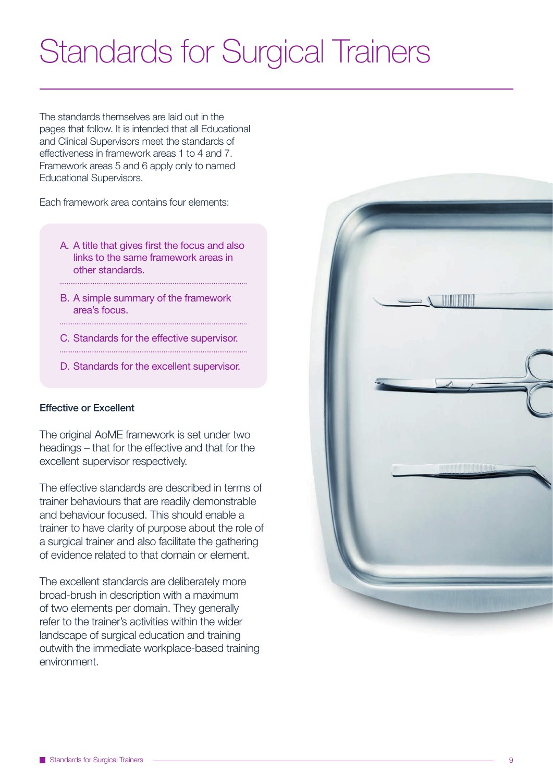## Standards for Surgical Trainers

The standards themselves are laid out in the pages that follow. It is intended that all Educational and Clinical Supervisors meet the standards of effectiveness in framework areas 1 to 4 and 7. Framework areas 5 and 6 apply only to named Educational Supervisors.

Each framework area contains four elements:

- A. A title that gives first the focus and also links to the same framework areas in other standards.
- B. A simple summary of the framework area's focus.

- C. Standards for the effective supervisor.
- D. Standards for the excellent supervisor.

#### Effective or Excellent

The original AoME framework is set under two headings – that for the effective and that for the excellent supervisor respectively.

The effective standards are described in terms of trainer behaviours that are readily demonstrable and behaviour focused. This should enable a trainer to have clarity of purpose about the role of a surgical trainer and also facilitate the gathering of evidence related to that domain or element.

The excellent standards are deliberately more broad-brush in description with a maximum of two elements per domain. They generally refer to the trainer's activities within the wider landscape of surgical education and training outwith the immediate workplace-based training environment.

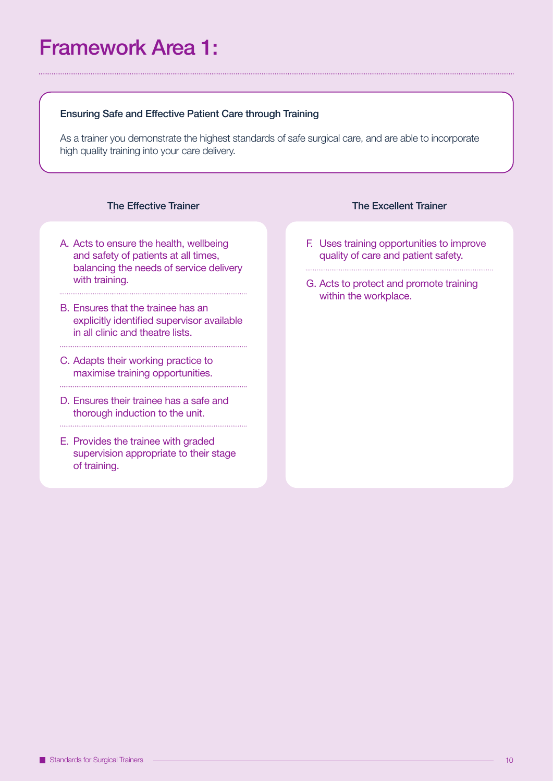### Framework Area 1:

#### Ensuring Safe and Effective Patient Care through Training

As a trainer you demonstrate the highest standards of safe surgical care, and are able to incorporate high quality training into your care delivery.

#### The Effective Trainer

- A. Acts to ensure the health, wellbeing and safety of patients at all times, balancing the needs of service delivery with training.
- B. Ensures that the trainee has an explicitly identified supervisor available in all clinic and theatre lists.
- C. Adapts their working practice to maximise training opportunities.
- D. Ensures their trainee has a safe and thorough induction to the unit.

E. Provides the trainee with graded supervision appropriate to their stage of training.

#### The Excellent Trainer

- F. Uses training opportunities to improve quality of care and patient safety.
- G. Acts to protect and promote training within the workplace.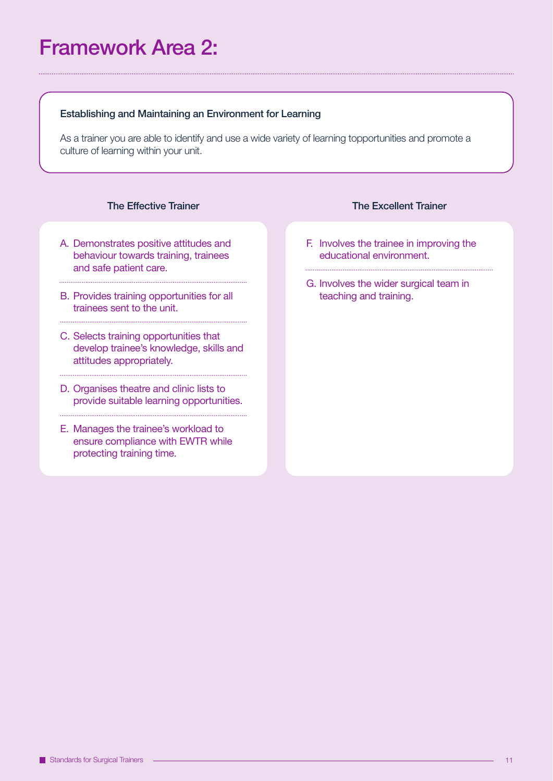### Framework Area 2:

#### Establishing and Maintaining an Environment for Learning

As a trainer you are able to identify and use a wide variety of learning topportunities and promote a culture of learning within your unit.

#### The Effective Trainer

- A. Demonstrates positive attitudes and behaviour towards training, trainees and safe patient care.
- B. Provides training opportunities for all trainees sent to the unit.

- C. Selects training opportunities that develop trainee's knowledge, skills and attitudes appropriately.
- D. Organises theatre and clinic lists to provide suitable learning opportunities.
- E. Manages the trainee's workload to ensure compliance with EWTR while protecting training time.

#### The Excellent Trainer

- F. Involves the trainee in improving the educational environment.
- G. Involves the wider surgical team in teaching and training.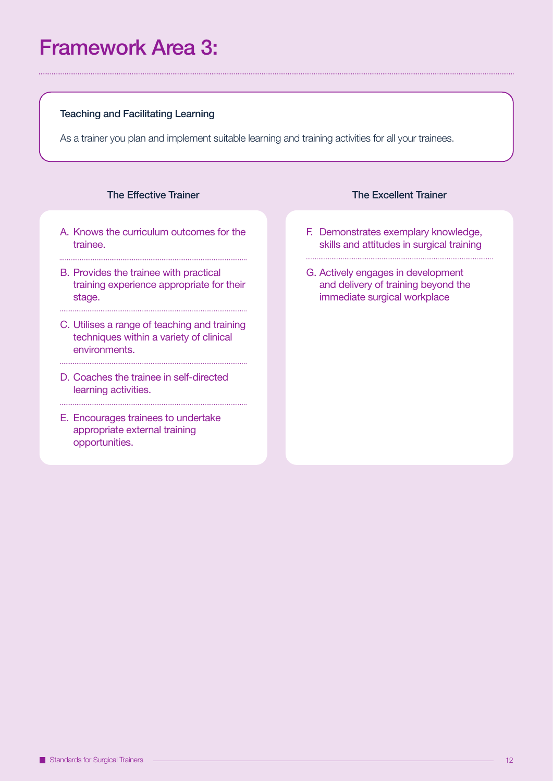### Framework Area 3:

#### Teaching and Facilitating Learning

As a trainer you plan and implement suitable learning and training activities for all your trainees.

#### The Effective Trainer

- A. Knows the curriculum outcomes for the trainee.
- B. Provides the trainee with practical training experience appropriate for their stage.

- C. Utilises a range of teaching and training techniques within a variety of clinical environments.
- D. Coaches the trainee in self-directed learning activities.

E. Encourages trainees to undertake appropriate external training opportunities.

#### The Excellent Trainer

F. Demonstrates exemplary knowledge, skills and attitudes in surgical training

G. Actively engages in development and delivery of training beyond the immediate surgical workplace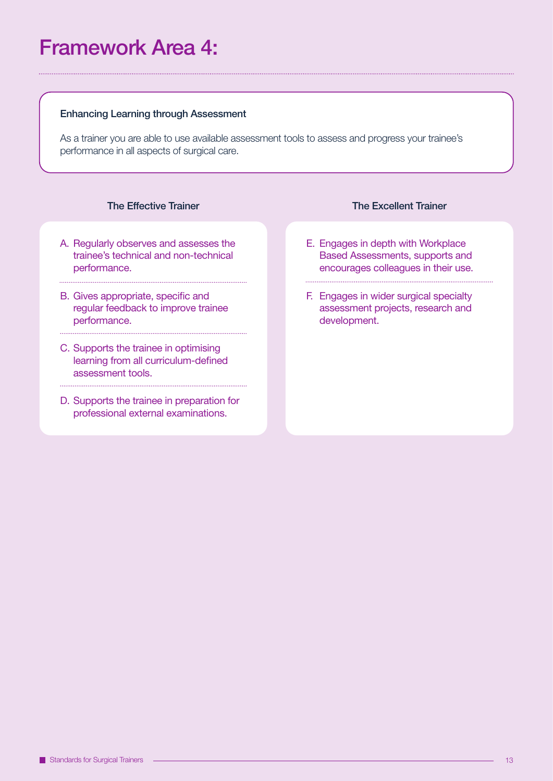### Framework Area 4:

#### Enhancing Learning through Assessment

As a trainer you are able to use available assessment tools to assess and progress your trainee's performance in all aspects of surgical care.

#### The Effective Trainer

A. Regularly observes and assesses the trainee's technical and non-technical performance.

- B. Gives appropriate, specific and regular feedback to improve trainee performance.
- C. Supports the trainee in optimising learning from all curriculum-defined assessment tools.
- D. Supports the trainee in preparation for professional external examinations.

#### The Excellent Trainer

E. Engages in depth with Workplace Based Assessments, supports and encourages colleagues in their use.

F. Engages in wider surgical specialty assessment projects, research and development.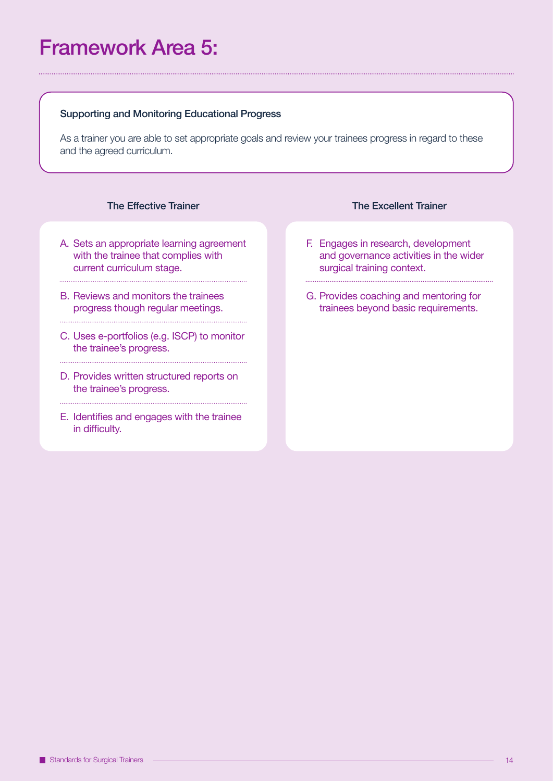### Framework Area 5:

#### Supporting and Monitoring Educational Progress

As a trainer you are able to set appropriate goals and review your trainees progress in regard to these and the agreed curriculum.

#### The Effective Trainer

A. Sets an appropriate learning agreement with the trainee that complies with current curriculum stage.

- B. Reviews and monitors the trainees progress though regular meetings.
- C. Uses e-portfolios (e.g. ISCP) to monitor the trainee's progress.
- D. Provides written structured reports on the trainee's progress.
- E. Identifies and engages with the trainee in difficulty.

#### The Excellent Trainer

F. Engages in research, development and governance activities in the wider surgical training context.

G. Provides coaching and mentoring for trainees beyond basic requirements.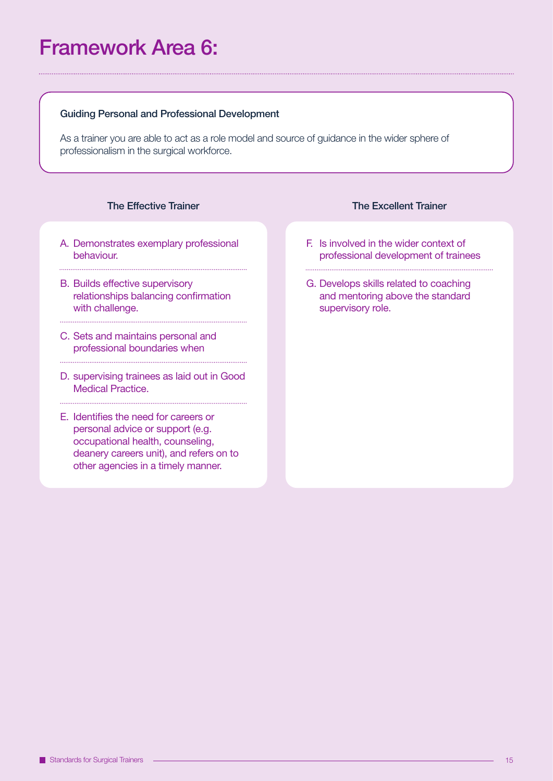### Framework Area 6:

#### Guiding Personal and Professional Development

As a trainer you are able to act as a role model and source of guidance in the wider sphere of professionalism in the surgical workforce.

#### The Effective Trainer

A. Demonstrates exemplary professional behaviour.

- B. Builds effective supervisory relationships balancing confirmation with challenge.
- C. Sets and maintains personal and professional boundaries when
- D. supervising trainees as laid out in Good Medical Practice.

E. Identifies the need for careers or personal advice or support (e.g. occupational health, counseling, deanery careers unit), and refers on to other agencies in a timely manner.

- The Excellent Trainer
- F. Is involved in the wider context of professional development of trainees
- G. Develops skills related to coaching and mentoring above the standard supervisory role.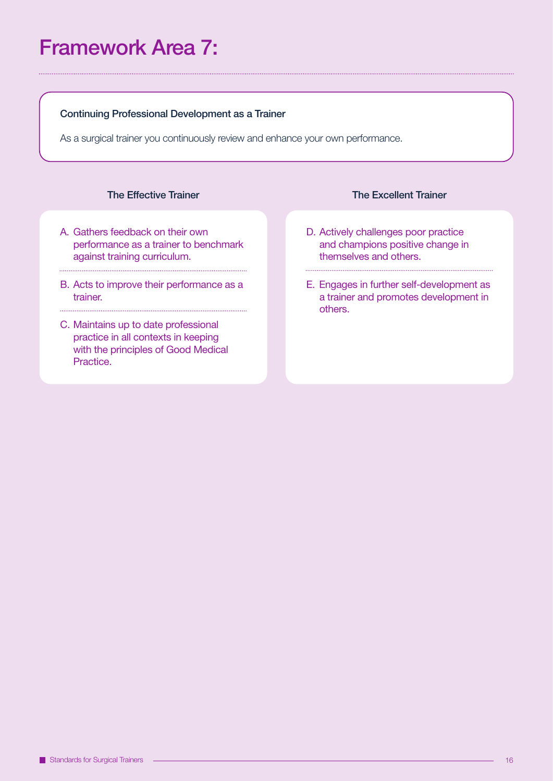### Framework Area 7:

#### Continuing Professional Development as a Trainer

As a surgical trainer you continuously review and enhance your own performance.

#### The Effective Trainer

- A. Gathers feedback on their own performance as a trainer to benchmark against training curriculum.
- B. Acts to improve their performance as a trainer.

C. Maintains up to date professional practice in all contexts in keeping with the principles of Good Medical Practice.

#### The Excellent Trainer

- D. Actively challenges poor practice and champions positive change in themselves and others.
- E. Engages in further self-development as a trainer and promotes development in others.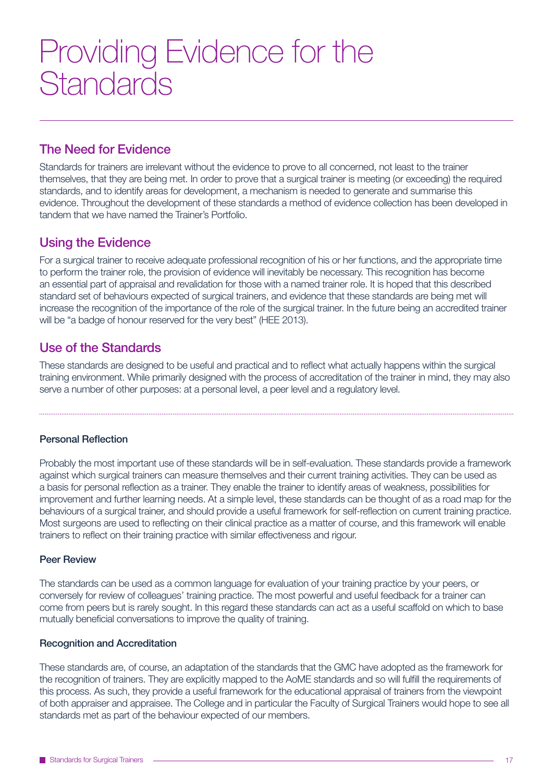## Providing Evidence for the **Standards**

#### The Need for Evidence

Standards for trainers are irrelevant without the evidence to prove to all concerned, not least to the trainer themselves, that they are being met. In order to prove that a surgical trainer is meeting (or exceeding) the required standards, and to identify areas for development, a mechanism is needed to generate and summarise this evidence. Throughout the development of these standards a method of evidence collection has been developed in tandem that we have named the Trainer's Portfolio.

#### Using the Evidence

For a surgical trainer to receive adequate professional recognition of his or her functions, and the appropriate time to perform the trainer role, the provision of evidence will inevitably be necessary. This recognition has become an essential part of appraisal and revalidation for those with a named trainer role. It is hoped that this described standard set of behaviours expected of surgical trainers, and evidence that these standards are being met will increase the recognition of the importance of the role of the surgical trainer. In the future being an accredited trainer will be "a badge of honour reserved for the very best" (HEE 2013).

#### Use of the Standards

These standards are designed to be useful and practical and to reflect what actually happens within the surgical training environment. While primarily designed with the process of accreditation of the trainer in mind, they may also serve a number of other purposes: at a personal level, a peer level and a regulatory level.

#### Personal Reflection

Probably the most important use of these standards will be in self-evaluation. These standards provide a framework against which surgical trainers can measure themselves and their current training activities. They can be used as a basis for personal reflection as a trainer. They enable the trainer to identify areas of weakness, possibilities for improvement and further learning needs. At a simple level, these standards can be thought of as a road map for the behaviours of a surgical trainer, and should provide a useful framework for self-reflection on current training practice. Most surgeons are used to reflecting on their clinical practice as a matter of course, and this framework will enable trainers to reflect on their training practice with similar effectiveness and rigour.

#### Peer Review

The standards can be used as a common language for evaluation of your training practice by your peers, or conversely for review of colleagues' training practice. The most powerful and useful feedback for a trainer can come from peers but is rarely sought. In this regard these standards can act as a useful scaffold on which to base mutually beneficial conversations to improve the quality of training.

#### Recognition and Accreditation

These standards are, of course, an adaptation of the standards that the GMC have adopted as the framework for the recognition of trainers. They are explicitly mapped to the AoME standards and so will fulfill the requirements of this process. As such, they provide a useful framework for the educational appraisal of trainers from the viewpoint of both appraiser and appraisee. The College and in particular the Faculty of Surgical Trainers would hope to see all standards met as part of the behaviour expected of our members.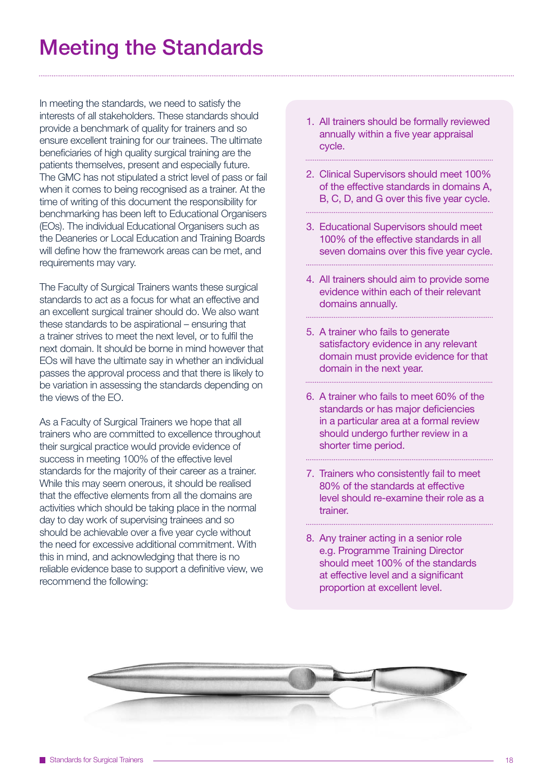### Meeting the Standards

In meeting the standards, we need to satisfy the interests of all stakeholders. These standards should provide a benchmark of quality for trainers and so ensure excellent training for our trainees. The ultimate beneficiaries of high quality surgical training are the patients themselves, present and especially future. The GMC has not stipulated a strict level of pass or fail when it comes to being recognised as a trainer. At the time of writing of this document the responsibility for benchmarking has been left to Educational Organisers (EOs). The individual Educational Organisers such as the Deaneries or Local Education and Training Boards will define how the framework areas can be met, and requirements may vary.

The Faculty of Surgical Trainers wants these surgical standards to act as a focus for what an effective and an excellent surgical trainer should do. We also want these standards to be aspirational – ensuring that a trainer strives to meet the next level, or to fulfil the next domain. It should be borne in mind however that EOs will have the ultimate say in whether an individual passes the approval process and that there is likely to be variation in assessing the standards depending on the views of the EO.

As a Faculty of Surgical Trainers we hope that all trainers who are committed to excellence throughout their surgical practice would provide evidence of success in meeting 100% of the effective level standards for the majority of their career as a trainer. While this may seem onerous, it should be realised that the effective elements from all the domains are activities which should be taking place in the normal day to day work of supervising trainees and so should be achievable over a five year cycle without the need for excessive additional commitment. With this in mind, and acknowledging that there is no reliable evidence base to support a definitive view, we recommend the following:

1. All trainers should be formally reviewed annually within a five year appraisal cycle.

2. Clinical Supervisors should meet 100% of the effective standards in domains A, B, C, D, and G over this five year cycle.

3. Educational Supervisors should meet 100% of the effective standards in all seven domains over this five year cycle.

- 4. All trainers should aim to provide some evidence within each of their relevant domains annually.
- 5. A trainer who fails to generate satisfactory evidence in any relevant domain must provide evidence for that domain in the next year.
- 6. A trainer who fails to meet 60% of the standards or has major deficiencies in a particular area at a formal review should undergo further review in a shorter time period.
- 7. Trainers who consistently fail to meet 80% of the standards at effective level should re-examine their role as a trainer.
- 8. Any trainer acting in a senior role e.g. Programme Training Director should meet 100% of the standards at effective level and a significant proportion at excellent level.

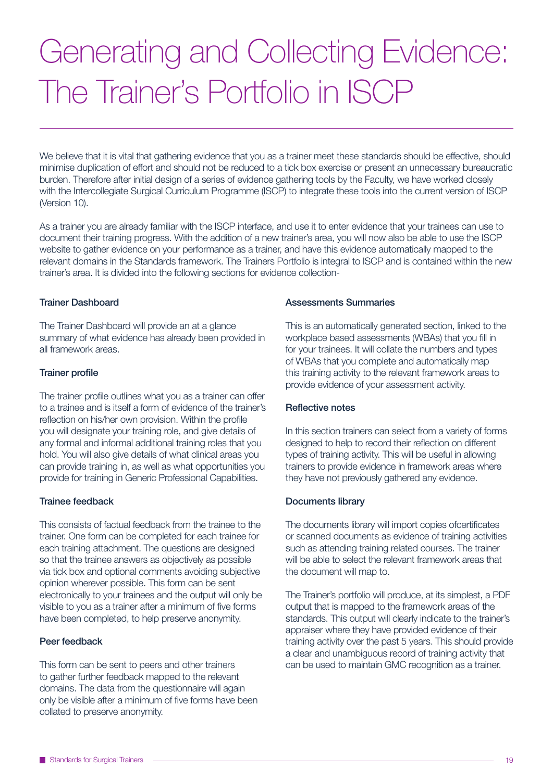# Generating and Collecting Evidence: The Trainer's Portfolio in ISCP

We believe that it is vital that gathering evidence that you as a trainer meet these standards should be effective, should minimise duplication of effort and should not be reduced to a tick box exercise or present an unnecessary bureaucratic burden. Therefore after initial design of a series of evidence gathering tools by the Faculty, we have worked closely with the Intercollegiate Surgical Curriculum Programme (ISCP) to integrate these tools into the current version of ISCP (Version 10).

As a trainer you are already familiar with the ISCP interface, and use it to enter evidence that your trainees can use to document their training progress. With the addition of a new trainer's area, you will now also be able to use the ISCP website to gather evidence on your performance as a trainer, and have this evidence automatically mapped to the relevant domains in the Standards framework. The Trainers Portfolio is integral to ISCP and is contained within the new trainer's area. It is divided into the following sections for evidence collection-

#### Trainer Dashboard

The Trainer Dashboard will provide an at a glance summary of what evidence has already been provided in all framework areas.

#### Trainer profile

The trainer profile outlines what you as a trainer can offer to a trainee and is itself a form of evidence of the trainer's reflection on his/her own provision. Within the profile you will designate your training role, and give details of any formal and informal additional training roles that you hold. You will also give details of what clinical areas you can provide training in, as well as what opportunities you provide for training in Generic Professional Capabilities.

#### Trainee feedback

This consists of factual feedback from the trainee to the trainer. One form can be completed for each trainee for each training attachment. The questions are designed so that the trainee answers as objectively as possible via tick box and optional comments avoiding subjective opinion wherever possible. This form can be sent electronically to your trainees and the output will only be visible to you as a trainer after a minimum of five forms have been completed, to help preserve anonymity.

#### Peer feedback

This form can be sent to peers and other trainers to gather further feedback mapped to the relevant domains. The data from the questionnaire will again only be visible after a minimum of five forms have been collated to preserve anonymity.

#### Assessments Summaries

This is an automatically generated section, linked to the workplace based assessments (WBAs) that you fill in for your trainees. It will collate the numbers and types of WBAs that you complete and automatically map this training activity to the relevant framework areas to provide evidence of your assessment activity.

#### Reflective notes

In this section trainers can select from a variety of forms designed to help to record their reflection on different types of training activity. This will be useful in allowing trainers to provide evidence in framework areas where they have not previously gathered any evidence.

#### Documents library

The documents library will import copies ofcertificates or scanned documents as evidence of training activities such as attending training related courses. The trainer will be able to select the relevant framework areas that the document will map to.

The Trainer's portfolio will produce, at its simplest, a PDF output that is mapped to the framework areas of the standards. This output will clearly indicate to the trainer's appraiser where they have provided evidence of their training activity over the past 5 years. This should provide a clear and unambiguous record of training activity that can be used to maintain GMC recognition as a trainer.